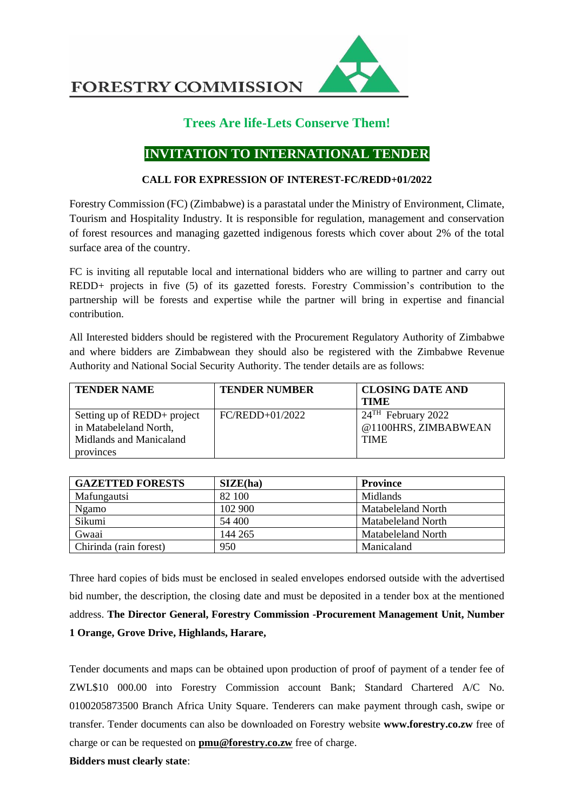**FORESTRY COMMISSION** 



## **Trees Are life-Lets Conserve Them!**

## **INVITATION TO INTERNATIONAL TENDER**

## **CALL FOR EXPRESSION OF INTEREST-FC/REDD+01/2022**

Forestry Commission (FC) (Zimbabwe) is a parastatal under the Ministry of Environment, Climate, Tourism and Hospitality Industry. It is responsible for regulation, management and conservation of forest resources and managing gazetted indigenous forests which cover about 2% of the total surface area of the country.

FC is inviting all reputable local and international bidders who are willing to partner and carry out REDD+ projects in five (5) of its gazetted forests. Forestry Commission's contribution to the partnership will be forests and expertise while the partner will bring in expertise and financial contribution.

All Interested bidders should be registered with the Procurement Regulatory Authority of Zimbabwe and where bidders are Zimbabwean they should also be registered with the Zimbabwe Revenue Authority and National Social Security Authority. The tender details are as follows:

| <b>TENDER NAME</b>          | <b>TENDER NUMBER</b> | <b>CLOSING DATE AND</b>          |
|-----------------------------|----------------------|----------------------------------|
|                             |                      | <b>TIME</b>                      |
| Setting up of REDD+ project | $FC/REDD+01/2022$    | $24$ <sup>TH</sup> February 2022 |
| in Matabeleland North,      |                      | @1100HRS, ZIMBABWEAN             |
| Midlands and Manicaland     |                      | <b>TIME</b>                      |
| provinces                   |                      |                                  |

| <b>GAZETTED FORESTS</b> | SIZE(ha) | <b>Province</b>    |
|-------------------------|----------|--------------------|
| Mafungautsi             | 82 100   | <b>Midlands</b>    |
| Ngamo                   | 102 900  | Matabeleland North |
| Sikumi                  | 54 400   | Matabeleland North |
| Gwaai                   | 144 265  | Matabeleland North |
| Chirinda (rain forest)  | 950      | Manicaland         |

Three hard copies of bids must be enclosed in sealed envelopes endorsed outside with the advertised bid number, the description, the closing date and must be deposited in a tender box at the mentioned address. **The Director General, Forestry Commission -Procurement Management Unit, Number 1 Orange, Grove Drive, Highlands, Harare,** 

Tender documents and maps can be obtained upon production of proof of payment of a tender fee of ZWL\$10 000.00 into Forestry Commission account Bank; Standard Chartered A/C No. 0100205873500 Branch Africa Unity Square. Tenderers can make payment through cash, swipe or transfer. Tender documents can also be downloaded on Forestry website **www.forestry.co.zw** free of charge or can be requested on **[pmu@forestry.co.zw](mailto:pmu@forestry.co.zw)** free of charge.

**Bidders must clearly state**: